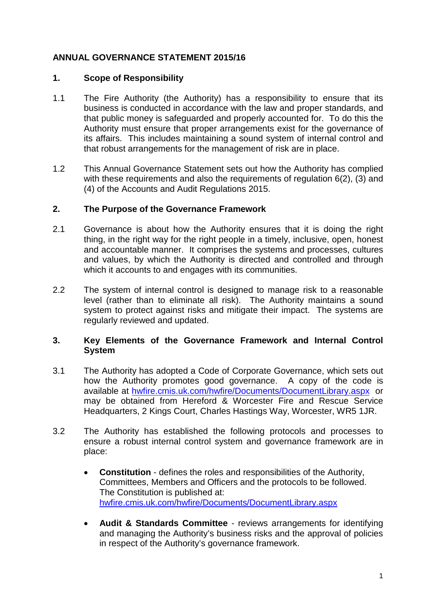# **ANNUAL GOVERNANCE STATEMENT 2015/16**

## **1. Scope of Responsibility**

- 1.1 The Fire Authority (the Authority) has a responsibility to ensure that its business is conducted in accordance with the law and proper standards, and that public money is safeguarded and properly accounted for. To do this the Authority must ensure that proper arrangements exist for the governance of its affairs. This includes maintaining a sound system of internal control and that robust arrangements for the management of risk are in place.
- 1.2 This Annual Governance Statement sets out how the Authority has complied with these requirements and also the requirements of regulation 6(2), (3) and (4) of the Accounts and Audit Regulations 2015.

#### **2. The Purpose of the Governance Framework**

- 2.1 Governance is about how the Authority ensures that it is doing the right thing, in the right way for the right people in a timely, inclusive, open, honest and accountable manner. It comprises the systems and processes, cultures and values, by which the Authority is directed and controlled and through which it accounts to and engages with its communities.
- 2.2 The system of internal control is designed to manage risk to a reasonable level (rather than to eliminate all risk). The Authority maintains a sound system to protect against risks and mitigate their impact. The systems are regularly reviewed and updated.

## **3. Key Elements of the Governance Framework and Internal Control System**

- 3.1 The Authority has adopted a Code of Corporate Governance, which sets out how the Authority promotes good governance. A copy of the code is available at [hwfire.cmis.uk.com/hwfire/Documents/DocumentLibrary.aspx](https://hwfire.cmis.uk.com/hwfire/Documents/DocumentLibrary.aspx) or may be obtained from Hereford & Worcester Fire and Rescue Service Headquarters, 2 Kings Court, Charles Hastings Way, Worcester, WR5 1JR.
- 3.2 The Authority has established the following protocols and processes to ensure a robust internal control system and governance framework are in place:
	- **Constitution** defines the roles and responsibilities of the Authority, Committees, Members and Officers and the protocols to be followed. The Constitution is published at: [hwfire.cmis.uk.com/hwfire/Documents/DocumentLibrary.aspx](https://hwfire.cmis.uk.com/hwfire/Documents/DocumentLibrary.aspx)
	- **Audit & Standards Committee** reviews arrangements for identifying and managing the Authority's business risks and the approval of policies in respect of the Authority's governance framework.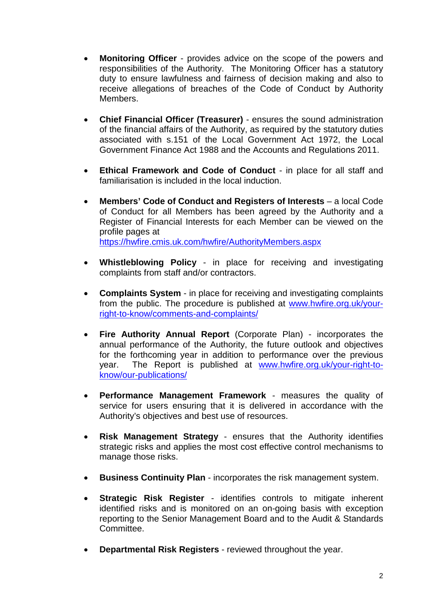- **Monitoring Officer** provides advice on the scope of the powers and responsibilities of the Authority. The Monitoring Officer has a statutory duty to ensure lawfulness and fairness of decision making and also to receive allegations of breaches of the Code of Conduct by Authority Members.
- **Chief Financial Officer (Treasurer)** ensures the sound administration of the financial affairs of the Authority, as required by the statutory duties associated with s.151 of the Local Government Act 1972, the Local Government Finance Act 1988 and the Accounts and Regulations 2011.
- **Ethical Framework and Code of Conduct** in place for all staff and familiarisation is included in the local induction.
- **Members' Code of Conduct and Registers of Interests** a local Code of Conduct for all Members has been agreed by the Authority and a Register of Financial Interests for each Member can be viewed on the profile pages at <https://hwfire.cmis.uk.com/hwfire/AuthorityMembers.aspx>
- **Whistleblowing Policy** in place for receiving and investigating complaints from staff and/or contractors.
- **Complaints System** in place for receiving and investigating complaints from the public. The procedure is published at [www.hwfire.org.uk/your](http://www.hwfire.org.uk/your-right-to-know/comments-and-complaints/)[right-to-know/comments-and-complaints/](http://www.hwfire.org.uk/your-right-to-know/comments-and-complaints/)
- **Fire Authority Annual Report** (Corporate Plan) incorporates the annual performance of the Authority, the future outlook and objectives for the forthcoming year in addition to performance over the previous year. The Report is published at [www.hwfire.org.uk/your-right-to](http://www.hwfire.org.uk/your-right-to-know/our-publications/)[know/our-publications/](http://www.hwfire.org.uk/your-right-to-know/our-publications/)
- **Performance Management Framework** measures the quality of service for users ensuring that it is delivered in accordance with the Authority's objectives and best use of resources.
- **Risk Management Strategy ensures that the Authority identifies** strategic risks and applies the most cost effective control mechanisms to manage those risks.
- **Business Continuity Plan** incorporates the risk management system.
- **Strategic Risk Register** identifies controls to mitigate inherent identified risks and is monitored on an on-going basis with exception reporting to the Senior Management Board and to the Audit & Standards Committee.
- **Departmental Risk Registers** reviewed throughout the year.